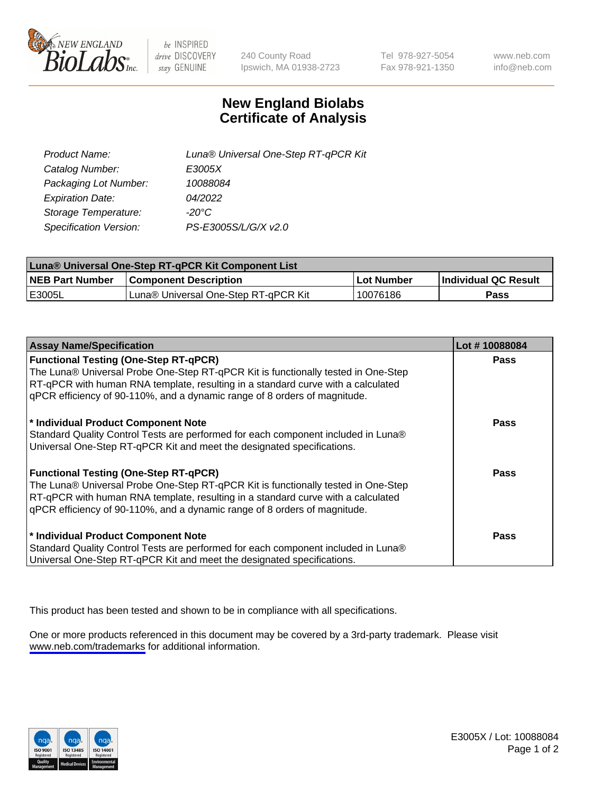

be INSPIRED drive DISCOVERY stay GENUINE

240 County Road Ipswich, MA 01938-2723 Tel 978-927-5054 Fax 978-921-1350

www.neb.com info@neb.com

## **New England Biolabs Certificate of Analysis**

| Product Name:           | Luna® Universal One-Step RT-qPCR Kit |
|-------------------------|--------------------------------------|
| Catalog Number:         | E3005X                               |
| Packaging Lot Number:   | 10088084                             |
| <b>Expiration Date:</b> | 04/2022                              |
| Storage Temperature:    | $-20^{\circ}$ C                      |
| Specification Version:  | PS-E3005S/L/G/X v2.0                 |

| Luna® Universal One-Step RT-qPCR Kit Component List |                                      |            |                      |  |
|-----------------------------------------------------|--------------------------------------|------------|----------------------|--|
| <b>NEB Part Number</b>                              | <b>Component Description</b>         | Lot Number | Individual QC Result |  |
| <b>IE3005L</b>                                      | Luna® Universal One-Step RT-qPCR Kit | 10076186   | <b>Pass</b>          |  |

| <b>Assay Name/Specification</b>                                                                                                                                                                                                                                                                    | Lot #10088084 |
|----------------------------------------------------------------------------------------------------------------------------------------------------------------------------------------------------------------------------------------------------------------------------------------------------|---------------|
| <b>Functional Testing (One-Step RT-qPCR)</b><br>The Luna® Universal Probe One-Step RT-qPCR Kit is functionally tested in One-Step                                                                                                                                                                  | <b>Pass</b>   |
| RT-qPCR with human RNA template, resulting in a standard curve with a calculated<br>gPCR efficiency of 90-110%, and a dynamic range of 8 orders of magnitude.                                                                                                                                      |               |
| * Individual Product Component Note<br>Standard Quality Control Tests are performed for each component included in Luna®<br>Universal One-Step RT-qPCR Kit and meet the designated specifications.                                                                                                 | <b>Pass</b>   |
| <b>Functional Testing (One-Step RT-qPCR)</b><br>The Luna® Universal Probe One-Step RT-qPCR Kit is functionally tested in One-Step<br>RT-qPCR with human RNA template, resulting in a standard curve with a calculated<br>gPCR efficiency of 90-110%, and a dynamic range of 8 orders of magnitude. | Pass          |
| * Individual Product Component Note<br>Standard Quality Control Tests are performed for each component included in Luna®<br>Universal One-Step RT-qPCR Kit and meet the designated specifications.                                                                                                 | <b>Pass</b>   |

This product has been tested and shown to be in compliance with all specifications.

One or more products referenced in this document may be covered by a 3rd-party trademark. Please visit <www.neb.com/trademarks>for additional information.